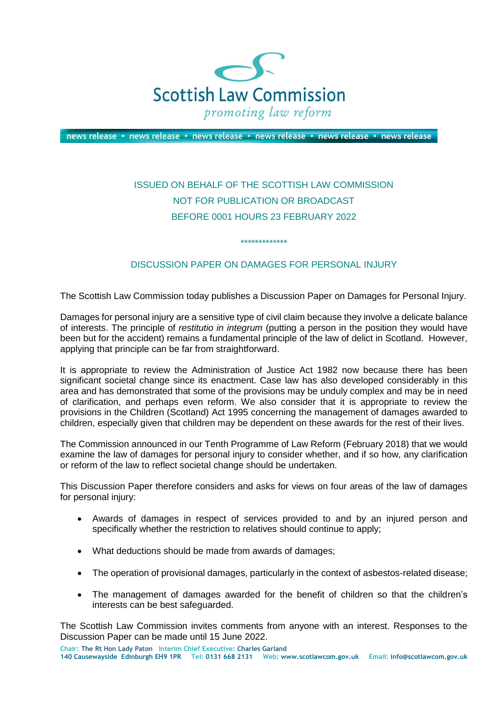

news release • news release • news release • news release • news release • news release

## ISSUED ON BEHALF OF THE SCOTTISH LAW COMMISSION NOT FOR PUBLICATION OR BROADCAST BEFORE 0001 HOURS 23 FEBRUARY 2022

## DISCUSSION PAPER ON DAMAGES FOR PERSONAL INJURY

\*\*\*\*\*\*\*\*\*\*\*\*\*

The Scottish Law Commission today publishes a Discussion Paper on Damages for Personal Injury.

Damages for personal injury are a sensitive type of civil claim because they involve a delicate balance of interests. The principle of *restitutio in integrum* (putting a person in the position they would have been but for the accident) remains a fundamental principle of the law of delict in Scotland. However, applying that principle can be far from straightforward.

It is appropriate to review the Administration of Justice Act 1982 now because there has been significant societal change since its enactment. Case law has also developed considerably in this area and has demonstrated that some of the provisions may be unduly complex and may be in need of clarification, and perhaps even reform. We also consider that it is appropriate to review the provisions in the Children (Scotland) Act 1995 concerning the management of damages awarded to children, especially given that children may be dependent on these awards for the rest of their lives.

The Commission announced in our Tenth Programme of Law Reform (February 2018) that we would examine the law of damages for personal injury to consider whether, and if so how, any clarification or reform of the law to reflect societal change should be undertaken.

This Discussion Paper therefore considers and asks for views on four areas of the law of damages for personal injury:

- Awards of damages in respect of services provided to and by an injured person and specifically whether the restriction to relatives should continue to apply;
- What deductions should be made from awards of damages;
- The operation of provisional damages, particularly in the context of asbestos-related disease;
- The management of damages awarded for the benefit of children so that the children's interests can be best safeguarded.

The Scottish Law Commission invites comments from anyone with an interest. Responses to the Discussion Paper can be made until 15 June 2022.